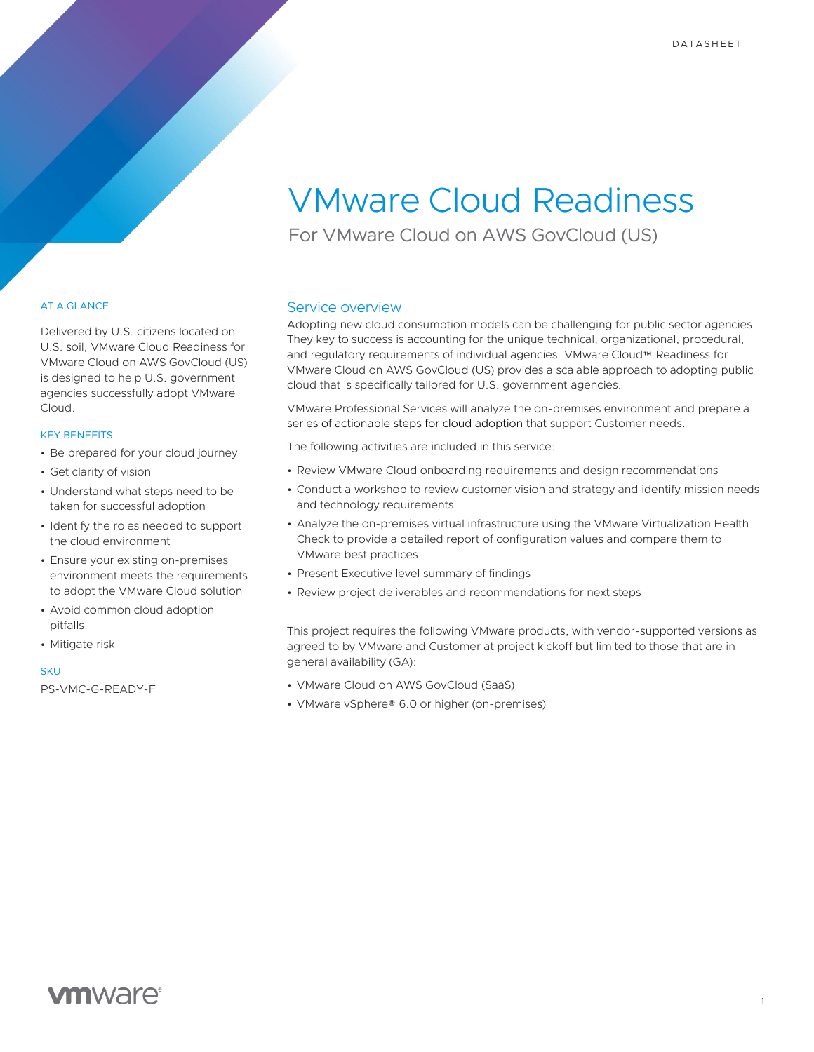# VMware Cloud Readiness

For VMware Cloud on AWS GovCloud (US)

### AT A GLANCE

Delivered by U.S. citizens located on U.S. soil, VMware Cloud Readiness for VMware Cloud on AWS GovCloud (US) is designed to help U.S. government agencies successfully adopt VMware Cloud.

#### KEY BENEFITS

- Be prepared for your cloud journey
- Get clarity of vision
- Understand what steps need to be taken for successful adoption
- Identify the roles needed to support the cloud environment
- Ensure your existing on-premises environment meets the requirements to adopt the VMware Cloud solution
- Avoid common cloud adoption pitfalls
- Mitigate risk

#### SKUT

PS-VMC-G-READY-F

### Service overview

Adopting new cloud consumption models can be challenging for public sector agencies. They key to success is accounting for the unique technical, organizational, procedural, and regulatory requirements of individual agencies. VMware Cloud™ Readiness for VMware Cloud on AWS GovCloud (US) provides a scalable approach to adopting public cloud that is specifically tailored for U.S. government agencies.

VMware Professional Services will analyze the on-premises environment and prepare a series of actionable steps for cloud adoption that support Customer needs.

The following activities are included in this service:

- Review VMware Cloud onboarding requirements and design recommendations
- Conduct a workshop to review customer vision and strategy and identify mission needs and technology requirements
- Analyze the on-premises virtual infrastructure using the VMware Virtualization Health Check to provide a detailed report of configuration values and compare them to VMware best practices
- Present Executive level summary of findings
- Review project deliverables and recommendations for next steps

This project requires the following VMware products, with vendor-supported versions as agreed to by VMware and Customer at project kickoff but limited to those that are in general availability (GA):

- VMware Cloud on AWS GovCloud (SaaS)
- VMware vSphere® 6.0 or higher (on-premises)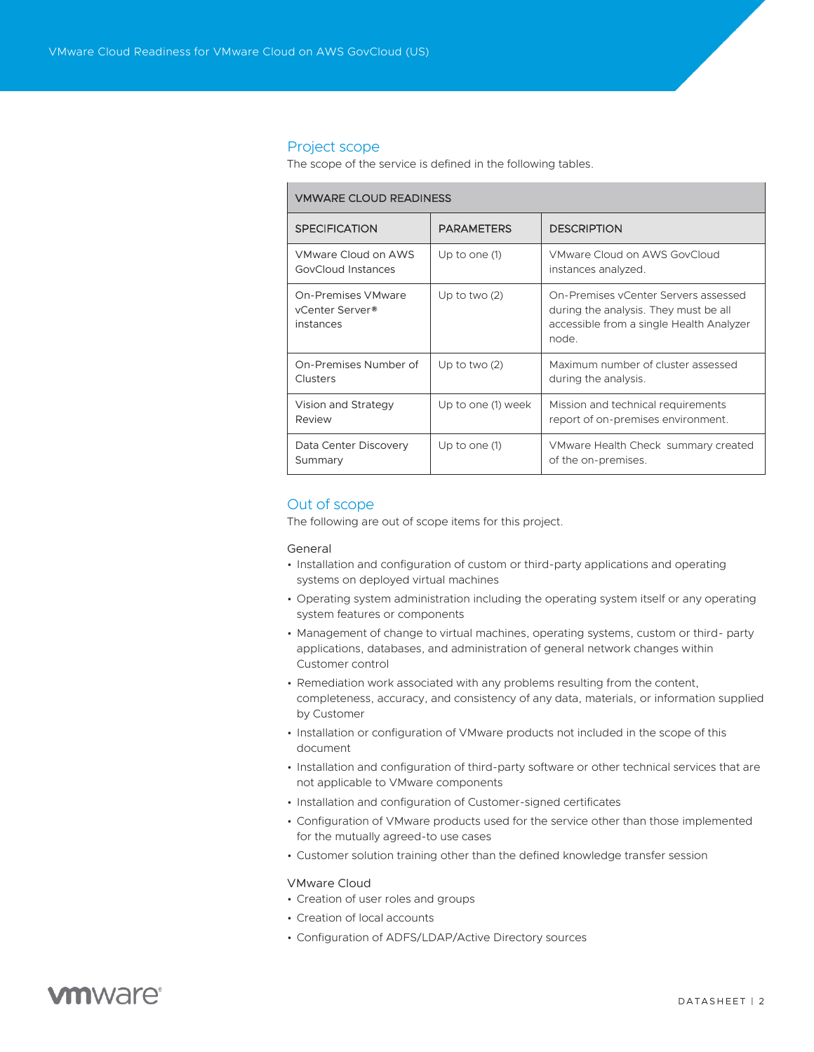#### Project scope

The scope of the service is defined in the following tables.

|  | <b><i>VMWARE CLOUD READINESS</i></b>                                  |                    |                                                                                                                                    |
|--|-----------------------------------------------------------------------|--------------------|------------------------------------------------------------------------------------------------------------------------------------|
|  | <b>SPECIFICATION</b>                                                  | <b>PARAMETERS</b>  | <b>DESCRIPTION</b>                                                                                                                 |
|  | VMware Cloud on AWS<br>GovCloud Instances                             | Up to one (1)      | VMware Cloud on AWS GovCloud<br>instances analyzed.                                                                                |
|  | <b>On-Premises VMware</b><br>vCenter Server <sup>®</sup><br>instances | Up to two $(2)$    | On-Premises yCenter Servers assessed<br>during the analysis. They must be all<br>accessible from a single Health Analyzer<br>node. |
|  | On-Premises Number of<br>Clusters                                     | Up to two $(2)$    | Maximum number of cluster assessed<br>during the analysis.                                                                         |
|  | Vision and Strategy<br>Review                                         | Up to one (1) week | Mission and technical requirements<br>report of on-premises environment.                                                           |
|  | Data Center Discovery<br>Summary                                      | Up to one $(1)$    | VMware Health Check summary created<br>of the on-premises.                                                                         |

## Out of scope

The following are out of scope items for this project.

### General

- Installation and configuration of custom or third-party applications and operating systems on deployed virtual machines
- Operating system administration including the operating system itself or any operating system features or components
- Management of change to virtual machines, operating systems, custom or third- party applications, databases, and administration of general network changes within Customer control
- Remediation work associated with any problems resulting from the content, completeness, accuracy, and consistency of any data, materials, or information supplied by Customer
- Installation or configuration of VMware products not included in the scope of this document
- Installation and configuration of third-party software or other technical services that are not applicable to VMware components
- Installation and configuration of Customer-signed certificates
- Configuration of VMware products used for the service other than those implemented for the mutually agreed-to use cases
- Customer solution training other than the defined knowledge transfer session

#### VMware Cloud

- Creation of user roles and groups
- Creation of local accounts
- Configuration of ADFS/LDAP/Active Directory sources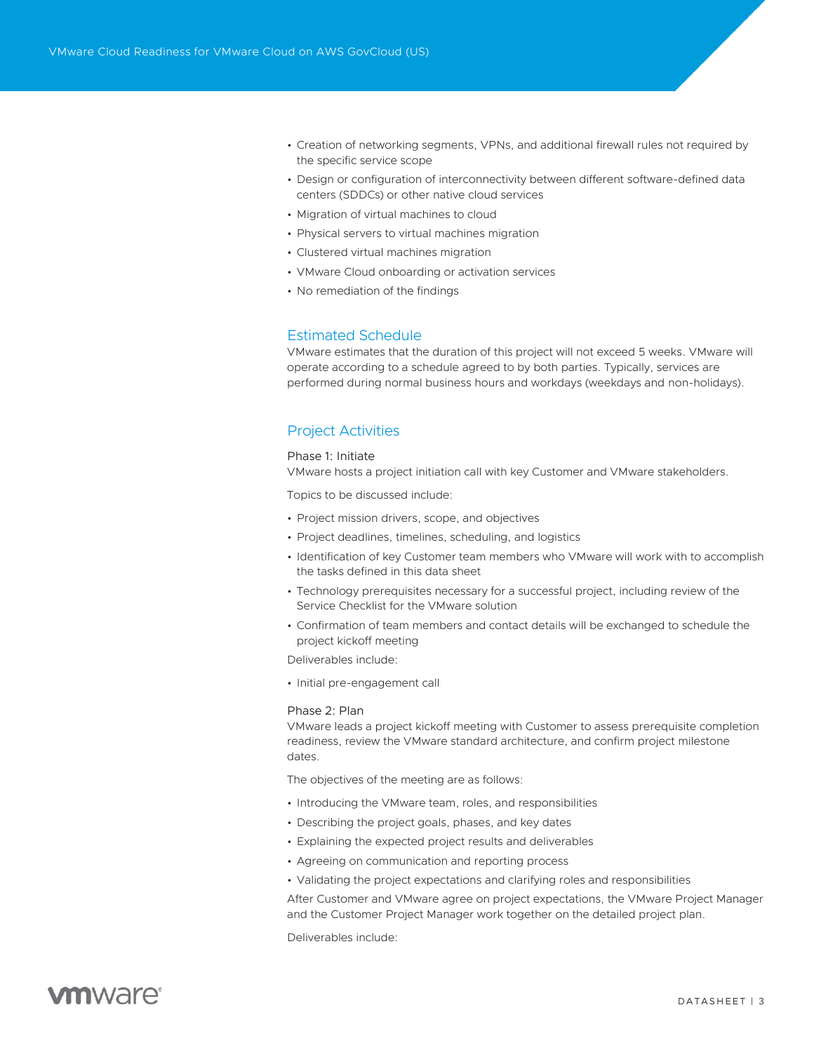- Creation of networking segments, VPNs, and additional firewall rules not required by the specific service scope
- Design or configuration of interconnectivity between different software-defined data centers (SDDCs) or other native cloud services
- Migration of virtual machines to cloud
- Physical servers to virtual machines migration
- Clustered virtual machines migration
- VMware Cloud onboarding or activation services
- No remediation of the findings

# Estimated Schedule

VMware estimates that the duration of this project will not exceed 5 weeks. VMware will operate according to a schedule agreed to by both parties. Typically, services are performed during normal business hours and workdays (weekdays and non-holidays).

### Project Activities

#### Phase 1: Initiate

VMware hosts a project initiation call with key Customer and VMware stakeholders.

Topics to be discussed include:

- Project mission drivers, scope, and objectives
- Project deadlines, timelines, scheduling, and logistics
- Identification of key Customer team members who VMware will work with to accomplish the tasks defined in this data sheet
- Technology prerequisites necessary for a successful project, including review of the Service Checklist for the VMware solution
- Confirmation of team members and contact details will be exchanged to schedule the project kickoff meeting

Deliverables include:

• Initial pre-engagement call

#### Phase 2: Plan

VMware leads a project kickoff meeting with Customer to assess prerequisite completion readiness, review the VMware standard architecture, and confirm project milestone dates.

The objectives of the meeting are as follows:

- Introducing the VMware team, roles, and responsibilities
- Describing the project goals, phases, and key dates
- Explaining the expected project results and deliverables
- Agreeing on communication and reporting process
- Validating the project expectations and clarifying roles and responsibilities

After Customer and VMware agree on project expectations, the VMware Project Manager and the Customer Project Manager work together on the detailed project plan.

Deliverables include: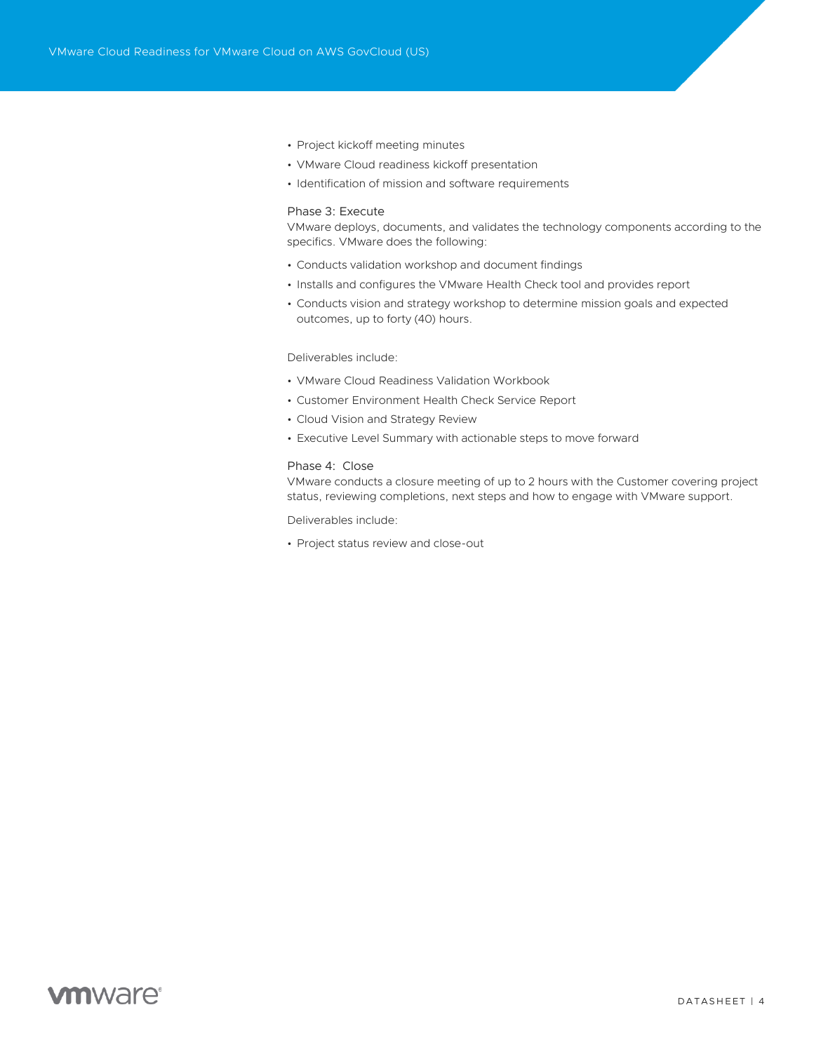- Project kickoff meeting minutes
- VMware Cloud readiness kickoff presentation
- Identification of mission and software requirements

### Phase 3: Execute

VMware deploys, documents, and validates the technology components according to the specifics. VMware does the following:

- Conducts validation workshop and document findings
- Installs and configures the VMware Health Check tool and provides report
- Conducts vision and strategy workshop to determine mission goals and expected outcomes, up to forty (40) hours.

#### Deliverables include:

- VMware Cloud Readiness Validation Workbook
- Customer Environment Health Check Service Report
- Cloud Vision and Strategy Review
- Executive Level Summary with actionable steps to move forward

#### Phase 4: Close

VMware conducts a closure meeting of up to 2 hours with the Customer covering project status, reviewing completions, next steps and how to engage with VMware support.

Deliverables include:

• Project status review and close-out